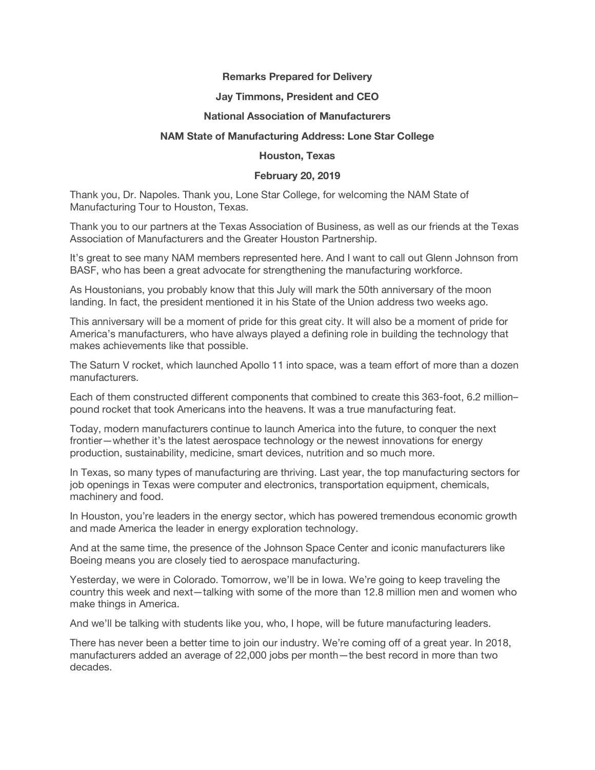## **Remarks Prepared for Delivery**

# **Jay Timmons, President and CEO**

### **National Association of Manufacturers**

# **NAM State of Manufacturing Address: Lone Star College**

### **Houston, Texas**

# **February 20, 2019**

Thank you, Dr. Napoles. Thank you, Lone Star College, for welcoming the NAM State of Manufacturing Tour to Houston, Texas.

Thank you to our partners at the Texas Association of Business, as well as our friends at the Texas Association of Manufacturers and the Greater Houston Partnership.

It's great to see many NAM members represented here. And I want to call out Glenn Johnson from BASF, who has been a great advocate for strengthening the manufacturing workforce.

As Houstonians, you probably know that this July will mark the 50th anniversary of the moon landing. In fact, the president mentioned it in his State of the Union address two weeks ago.

This anniversary will be a moment of pride for this great city. It will also be a moment of pride for America's manufacturers, who have always played a defining role in building the technology that makes achievements like that possible.

The Saturn V rocket, which launched Apollo 11 into space, was a team effort of more than a dozen manufacturers.

Each of them constructed different components that combined to create this 363-foot, 6.2 million– pound rocket that took Americans into the heavens. It was a true manufacturing feat.

Today, modern manufacturers continue to launch America into the future, to conquer the next frontier—whether it's the latest aerospace technology or the newest innovations for energy production, sustainability, medicine, smart devices, nutrition and so much more.

In Texas, so many types of manufacturing are thriving. Last year, the top manufacturing sectors for job openings in Texas were computer and electronics, transportation equipment, chemicals, machinery and food.

In Houston, you're leaders in the energy sector, which has powered tremendous economic growth and made America the leader in energy exploration technology.

And at the same time, the presence of the Johnson Space Center and iconic manufacturers like Boeing means you are closely tied to aerospace manufacturing.

Yesterday, we were in Colorado. Tomorrow, we'll be in Iowa. We're going to keep traveling the country this week and next—talking with some of the more than 12.8 million men and women who make things in America.

And we'll be talking with students like you, who, I hope, will be future manufacturing leaders.

There has never been a better time to join our industry. We're coming off of a great year. In 2018, manufacturers added an average of 22,000 jobs per month—the best record in more than two decades.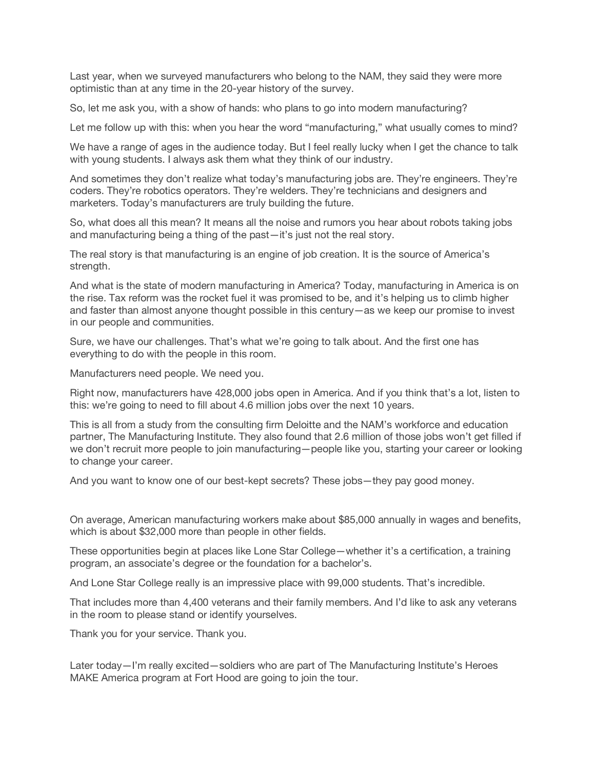Last year, when we surveyed manufacturers who belong to the NAM, they said they were more optimistic than at any time in the 20-year history of the survey.

So, let me ask you, with a show of hands: who plans to go into modern manufacturing?

Let me follow up with this: when you hear the word "manufacturing," what usually comes to mind?

We have a range of ages in the audience today. But I feel really lucky when I get the chance to talk with young students. I always ask them what they think of our industry.

And sometimes they don't realize what today's manufacturing jobs are. They're engineers. They're coders. They're robotics operators. They're welders. They're technicians and designers and marketers. Today's manufacturers are truly building the future.

So, what does all this mean? It means all the noise and rumors you hear about robots taking jobs and manufacturing being a thing of the past—it's just not the real story.

The real story is that manufacturing is an engine of job creation. It is the source of America's strength.

And what is the state of modern manufacturing in America? Today, manufacturing in America is on the rise. Tax reform was the rocket fuel it was promised to be, and it's helping us to climb higher and faster than almost anyone thought possible in this century—as we keep our promise to invest in our people and communities.

Sure, we have our challenges. That's what we're going to talk about. And the first one has everything to do with the people in this room.

Manufacturers need people. We need you.

Right now, manufacturers have 428,000 jobs open in America. And if you think that's a lot, listen to this: we're going to need to fill about 4.6 million jobs over the next 10 years.

This is all from a study from the consulting firm Deloitte and the NAM's workforce and education partner, The Manufacturing Institute. They also found that 2.6 million of those jobs won't get filled if we don't recruit more people to join manufacturing—people like you, starting your career or looking to change your career.

And you want to know one of our best-kept secrets? These jobs—they pay good money.

On average, American manufacturing workers make about \$85,000 annually in wages and benefits, which is about \$32,000 more than people in other fields.

These opportunities begin at places like Lone Star College—whether it's a certification, a training program, an associate's degree or the foundation for a bachelor's.

And Lone Star College really is an impressive place with 99,000 students. That's incredible.

That includes more than 4,400 veterans and their family members. And I'd like to ask any veterans in the room to please stand or identify yourselves.

Thank you for your service. Thank you.

Later today—I'm really excited—soldiers who are part of The Manufacturing Institute's Heroes MAKE America program at Fort Hood are going to join the tour.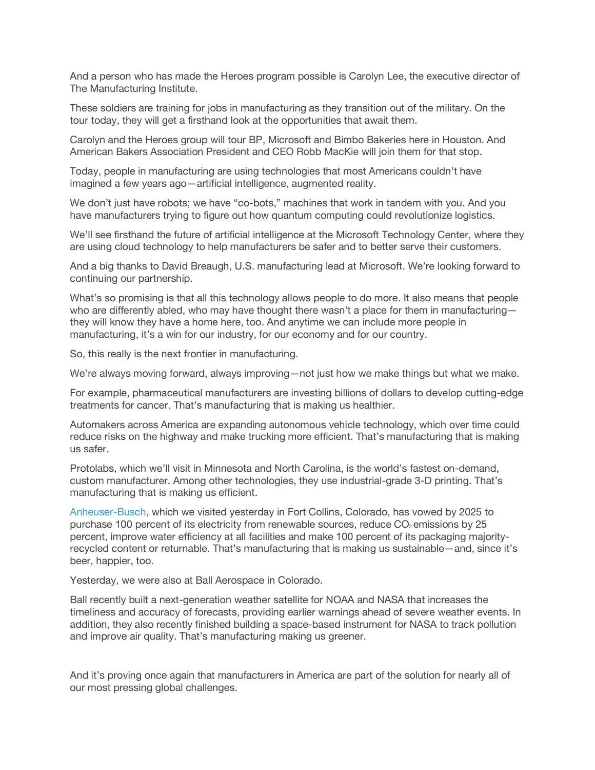And a person who has made the Heroes program possible is Carolyn Lee, the executive director of The Manufacturing Institute.

These soldiers are training for jobs in manufacturing as they transition out of the military. On the tour today, they will get a firsthand look at the opportunities that await them.

Carolyn and the Heroes group will tour BP, Microsoft and Bimbo Bakeries here in Houston. And American Bakers Association President and CEO Robb MacKie will join them for that stop.

Today, people in manufacturing are using technologies that most Americans couldn't have imagined a few years ago—artificial intelligence, augmented reality.

We don't just have robots; we have "co-bots," machines that work in tandem with you. And you have manufacturers trying to figure out how quantum computing could revolutionize logistics.

We'll see firsthand the future of artificial intelligence at the Microsoft Technology Center, where they are using cloud technology to help manufacturers be safer and to better serve their customers.

And a big thanks to David Breaugh, U.S. manufacturing lead at Microsoft. We're looking forward to continuing our partnership.

What's so promising is that all this technology allows people to do more. It also means that people who are differently abled, who may have thought there wasn't a place for them in manufacturing they will know they have a home here, too. And anytime we can include more people in manufacturing, it's a win for our industry, for our economy and for our country.

So, this really is the next frontier in manufacturing.

We're always moving forward, always improving—not just how we make things but what we make.

For example, pharmaceutical manufacturers are investing billions of dollars to develop cutting-edge treatments for cancer. That's manufacturing that is making us healthier.

Automakers across America are expanding autonomous vehicle technology, which over time could reduce risks on the highway and make trucking more efficient. That's manufacturing that is making us safer.

Protolabs, which we'll visit in Minnesota and North Carolina, is the world's fastest on-demand, custom manufacturer. Among other technologies, they use industrial-grade 3-D printing. That's manufacturing that is making us efficient.

Anheuser-Busch, which we visited yesterday in Fort Collins, Colorado, has vowed by 2025 to purchase 100 percent of its electricity from renewable sources, reduce  $CO<sub>2</sub>$  emissions by 25 percent, improve water efficiency at all facilities and make 100 percent of its packaging majorityrecycled content or returnable. That's manufacturing that is making us sustainable—and, since it's beer, happier, too.

Yesterday, we were also at Ball Aerospace in Colorado.

Ball recently built a next-generation weather satellite for NOAA and NASA that increases the timeliness and accuracy of forecasts, providing earlier warnings ahead of severe weather events. In addition, they also recently finished building a space-based instrument for NASA to track pollution and improve air quality. That's manufacturing making us greener.

And it's proving once again that manufacturers in America are part of the solution for nearly all of our most pressing global challenges.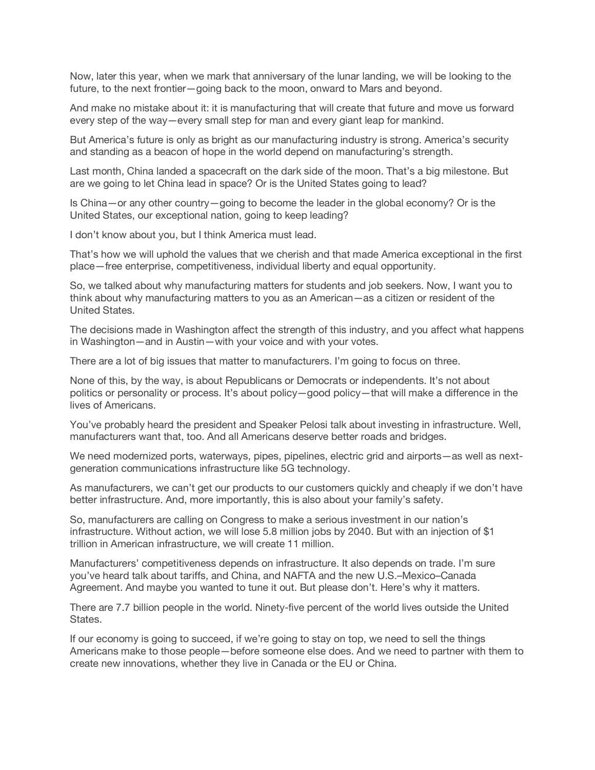Now, later this year, when we mark that anniversary of the lunar landing, we will be looking to the future, to the next frontier—going back to the moon, onward to Mars and beyond.

And make no mistake about it: it is manufacturing that will create that future and move us forward every step of the way—every small step for man and every giant leap for mankind.

But America's future is only as bright as our manufacturing industry is strong. America's security and standing as a beacon of hope in the world depend on manufacturing's strength.

Last month, China landed a spacecraft on the dark side of the moon. That's a big milestone. But are we going to let China lead in space? Or is the United States going to lead?

Is China—or any other country—going to become the leader in the global economy? Or is the United States, our exceptional nation, going to keep leading?

I don't know about you, but I think America must lead.

That's how we will uphold the values that we cherish and that made America exceptional in the first place—free enterprise, competitiveness, individual liberty and equal opportunity.

So, we talked about why manufacturing matters for students and job seekers. Now, I want you to think about why manufacturing matters to you as an American—as a citizen or resident of the United States.

The decisions made in Washington affect the strength of this industry, and you affect what happens in Washington—and in Austin—with your voice and with your votes.

There are a lot of big issues that matter to manufacturers. I'm going to focus on three.

None of this, by the way, is about Republicans or Democrats or independents. It's not about politics or personality or process. It's about policy—good policy—that will make a difference in the lives of Americans.

You've probably heard the president and Speaker Pelosi talk about investing in infrastructure. Well, manufacturers want that, too. And all Americans deserve better roads and bridges.

We need modernized ports, waterways, pipes, pipelines, electric grid and airports—as well as nextgeneration communications infrastructure like 5G technology.

As manufacturers, we can't get our products to our customers quickly and cheaply if we don't have better infrastructure. And, more importantly, this is also about your family's safety.

So, manufacturers are calling on Congress to make a serious investment in our nation's infrastructure. Without action, we will lose 5.8 million jobs by 2040. But with an injection of \$1 trillion in American infrastructure, we will create 11 million.

Manufacturers' competitiveness depends on infrastructure. It also depends on trade. I'm sure you've heard talk about tariffs, and China, and NAFTA and the new U.S.–Mexico–Canada Agreement. And maybe you wanted to tune it out. But please don't. Here's why it matters.

There are 7.7 billion people in the world. Ninety-five percent of the world lives outside the United States.

If our economy is going to succeed, if we're going to stay on top, we need to sell the things Americans make to those people—before someone else does. And we need to partner with them to create new innovations, whether they live in Canada or the EU or China.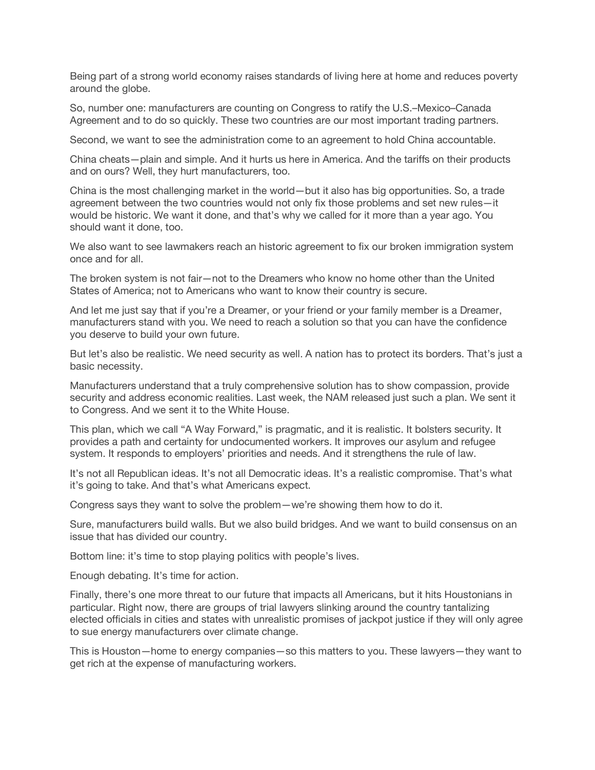Being part of a strong world economy raises standards of living here at home and reduces poverty around the globe.

So, number one: manufacturers are counting on Congress to ratify the U.S.–Mexico–Canada Agreement and to do so quickly. These two countries are our most important trading partners.

Second, we want to see the administration come to an agreement to hold China accountable.

China cheats—plain and simple. And it hurts us here in America. And the tariffs on their products and on ours? Well, they hurt manufacturers, too.

China is the most challenging market in the world—but it also has big opportunities. So, a trade agreement between the two countries would not only fix those problems and set new rules—it would be historic. We want it done, and that's why we called for it more than a year ago. You should want it done, too.

We also want to see lawmakers reach an historic agreement to fix our broken immigration system once and for all.

The broken system is not fair—not to the Dreamers who know no home other than the United States of America; not to Americans who want to know their country is secure.

And let me just say that if you're a Dreamer, or your friend or your family member is a Dreamer, manufacturers stand with you. We need to reach a solution so that you can have the confidence you deserve to build your own future.

But let's also be realistic. We need security as well. A nation has to protect its borders. That's just a basic necessity.

Manufacturers understand that a truly comprehensive solution has to show compassion, provide security and address economic realities. Last week, the NAM released just such a plan. We sent it to Congress. And we sent it to the White House.

This plan, which we call "A Way Forward," is pragmatic, and it is realistic. It bolsters security. It provides a path and certainty for undocumented workers. It improves our asylum and refugee system. It responds to employers' priorities and needs. And it strengthens the rule of law.

It's not all Republican ideas. It's not all Democratic ideas. It's a realistic compromise. That's what it's going to take. And that's what Americans expect.

Congress says they want to solve the problem—we're showing them how to do it.

Sure, manufacturers build walls. But we also build bridges. And we want to build consensus on an issue that has divided our country.

Bottom line: it's time to stop playing politics with people's lives.

Enough debating. It's time for action.

Finally, there's one more threat to our future that impacts all Americans, but it hits Houstonians in particular. Right now, there are groups of trial lawyers slinking around the country tantalizing elected officials in cities and states with unrealistic promises of jackpot justice if they will only agree to sue energy manufacturers over climate change.

This is Houston—home to energy companies—so this matters to you. These lawyers—they want to get rich at the expense of manufacturing workers.